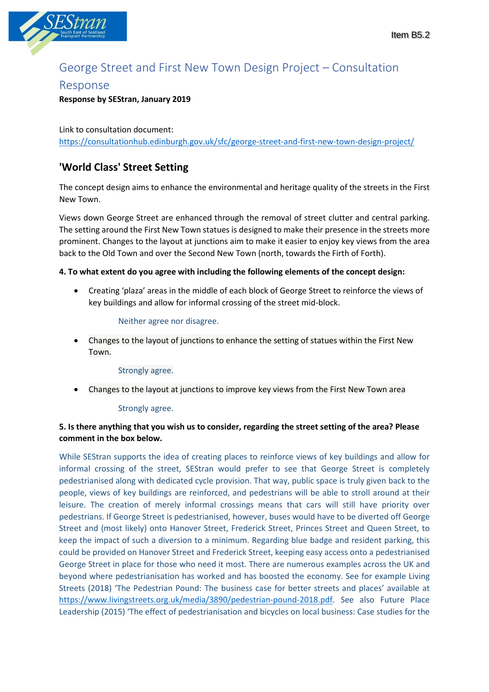

# George Street and First New Town Design Project – Consultation

## Response

### **Response by SEStran, January 2019**

Link to consultation document: <https://consultationhub.edinburgh.gov.uk/sfc/george-street-and-first-new-town-design-project/>

## **'World Class' Street Setting**

The concept design aims to enhance the environmental and heritage quality of the streets in the First New Town.

Views down George Street are enhanced through the removal of street clutter and central parking. The setting around the First New Town statues is designed to make their presence in the streets more prominent. Changes to the layout at junctions aim to make it easier to enjoy key views from the area back to the Old Town and over the Second New Town (north, towards the Firth of Forth).

#### **4. To what extent do you agree with including the following elements of the concept design:**

• Creating 'plaza' areas in the middle of each block of George Street to reinforce the views of key buildings and allow for informal crossing of the street mid-block.

#### Neither agree nor disagree.

• Changes to the layout of junctions to enhance the setting of statues within the First New Town.

#### Strongly agree.

• Changes to the layout at junctions to improve key views from the First New Town area

#### Strongly agree.

### **5. Is there anything that you wish us to consider, regarding the street setting of the area? Please comment in the box below.**

While SEStran supports the idea of creating places to reinforce views of key buildings and allow for informal crossing of the street, SEStran would prefer to see that George Street is completely pedestrianised along with dedicated cycle provision. That way, public space is truly given back to the people, views of key buildings are reinforced, and pedestrians will be able to stroll around at their leisure. The creation of merely informal crossings means that cars will still have priority over pedestrians. If George Street is pedestrianised, however, buses would have to be diverted off George Street and (most likely) onto Hanover Street, Frederick Street, Princes Street and Queen Street, to keep the impact of such a diversion to a minimum. Regarding blue badge and resident parking, this could be provided on Hanover Street and Frederick Street, keeping easy access onto a pedestrianised George Street in place for those who need it most. There are numerous examples across the UK and beyond where pedestrianisation has worked and has boosted the economy. See for example Living Streets (2018) 'The Pedestrian Pound: The business case for better streets and places' available at [https://www.livingstreets.org.uk/media/3890/pedestrian-pound-2018.pdf.](https://www.livingstreets.org.uk/media/3890/pedestrian-pound-2018.pdf) See also Future Place Leadership (2015) 'The effect of pedestrianisation and bicycles on local business: Case studies for the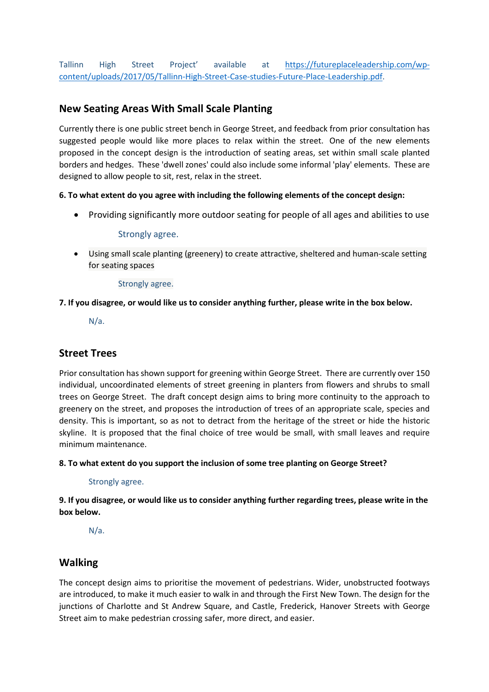Tallinn High Street Project' available at [https://futureplaceleadership.com/wp](https://futureplaceleadership.com/wp-content/uploads/2017/05/Tallinn-High-Street-Case-studies-Future-Place-Leadership.pdf)[content/uploads/2017/05/Tallinn-High-Street-Case-studies-Future-Place-Leadership.pdf.](https://futureplaceleadership.com/wp-content/uploads/2017/05/Tallinn-High-Street-Case-studies-Future-Place-Leadership.pdf)

## **New Seating Areas With Small Scale Planting**

Currently there is one public street bench in George Street, and feedback from prior consultation has suggested people would like more places to relax within the street. One of the new elements proposed in the concept design is the introduction of seating areas, set within small scale planted borders and hedges. These 'dwell zones' could also include some informal 'play' elements. These are designed to allow people to sit, rest, relax in the street.

#### **6. To what extent do you agree with including the following elements of the concept design:**

• Providing significantly more outdoor seating for people of all ages and abilities to use

#### Strongly agree.

• Using small scale planting (greenery) to create attractive, sheltered and human-scale setting for seating spaces

#### Strongly agree.

#### **7. If you disagree, or would like us to consider anything further, please write in the box below.**

N/a.

## **Street Trees**

Prior consultation has shown support for greening within George Street. There are currently over 150 individual, uncoordinated elements of street greening in planters from flowers and shrubs to small trees on George Street. The draft concept design aims to bring more continuity to the approach to greenery on the street, and proposes the introduction of trees of an appropriate scale, species and density. This is important, so as not to detract from the heritage of the street or hide the historic skyline. It is proposed that the final choice of tree would be small, with small leaves and require minimum maintenance.

#### **8. To what extent do you support the inclusion of some tree planting on George Street?**

#### Strongly agree.

### **9. If you disagree, or would like us to consider anything further regarding trees, please write in the box below.**

N/a.

## **Walking**

The concept design aims to prioritise the movement of pedestrians. Wider, unobstructed footways are introduced, to make it much easier to walk in and through the First New Town. The design for the junctions of Charlotte and St Andrew Square, and Castle, Frederick, Hanover Streets with George Street aim to make pedestrian crossing safer, more direct, and easier.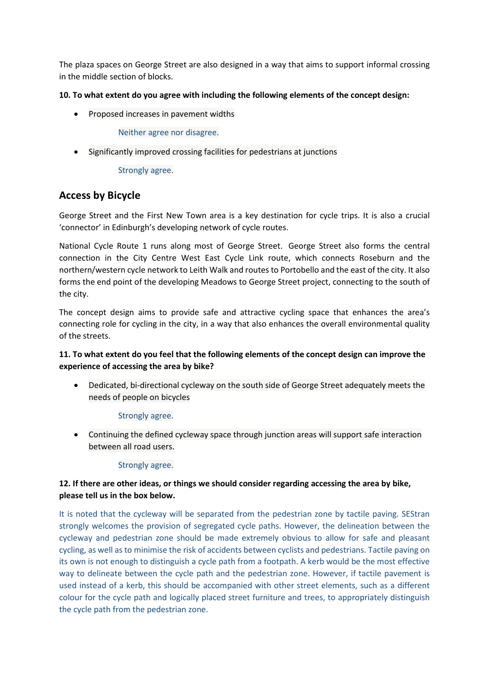The plaza spaces on George Street are also designed in a way that aims to support informal crossing in the middle section of blocks.

#### **10. To what extent do you agree with including the following elements of the concept design:**

• Proposed increases in pavement widths

Neither agree nor disagree.

• Significantly improved crossing facilities for pedestrians at junctions

Strongly agree.

## **Access by Bicycle**

George Street and the First New Town area is a key destination for cycle trips. It is also a crucial 'connector' in Edinburgh's developing network of cycle routes.

National Cycle Route 1 runs along most of George Street. George Street also forms the central connection in the City Centre West East Cycle Link route, which connects Roseburn and the northern/western cycle network to Leith Walk and routes to Portobello and the east of the city. It also forms the end point of the developing Meadows to George Street project, connecting to the south of the city.

The concept design aims to provide safe and attractive cycling space that enhances the area's connecting role for cycling in the city, in a way that also enhances the overall environmental quality of the streets.

### **11. To what extent do you feel that the following elements of the concept design can improve the experience of accessing the area by bike?**

• Dedicated, bi-directional cycleway on the south side of George Street adequately meets the needs of people on bicycles

Strongly agree.

• Continuing the defined cycleway space through junction areas will support safe interaction between all road users.

#### Strongly agree.

### **12. If there are other ideas, or things we should consider regarding accessing the area by bike, please tell us in the box below.**

It is noted that the cycleway will be separated from the pedestrian zone by tactile paving. SEStran strongly welcomes the provision of segregated cycle paths. However, the delineation between the cycleway and pedestrian zone should be made extremely obvious to allow for safe and pleasant cycling, as well as to minimise the risk of accidents between cyclists and pedestrians. Tactile paving on its own is not enough to distinguish a cycle path from a footpath. A kerb would be the most effective way to delineate between the cycle path and the pedestrian zone. However, if tactile pavement is used instead of a kerb, this should be accompanied with other street elements, such as a different colour for the cycle path and logically placed street furniture and trees, to appropriately distinguish the cycle path from the pedestrian zone.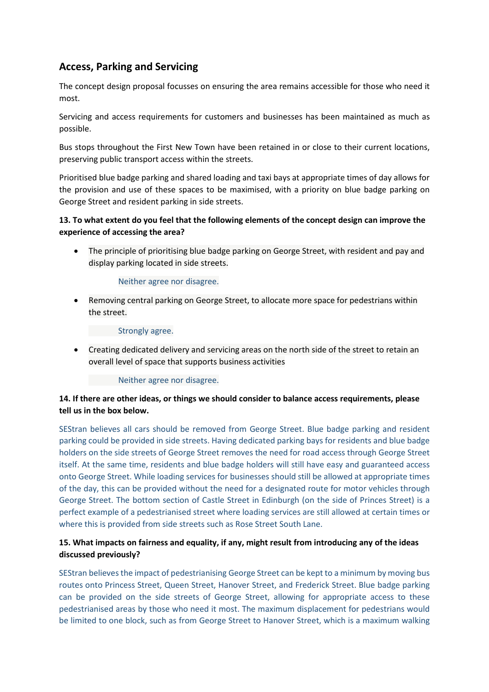## **Access, Parking and Servicing**

The concept design proposal focusses on ensuring the area remains accessible for those who need it most.

Servicing and access requirements for customers and businesses has been maintained as much as possible.

Bus stops throughout the First New Town have been retained in or close to their current locations, preserving public transport access within the streets.

Prioritised blue badge parking and shared loading and taxi bays at appropriate times of day allows for the provision and use of these spaces to be maximised, with a priority on blue badge parking on George Street and resident parking in side streets.

#### **13. To what extent do you feel that the following elements of the concept design can improve the experience of accessing the area?**

• The principle of prioritising blue badge parking on George Street, with resident and pay and display parking located in side streets.

#### Neither agree nor disagree.

• Removing central parking on George Street, to allocate more space for pedestrians within the street.

#### Strongly agree.

• Creating dedicated delivery and servicing areas on the north side of the street to retain an overall level of space that supports business activities

#### Neither agree nor disagree.

#### **14. If there are other ideas, or things we should consider to balance access requirements, please tell us in the box below.**

SEStran believes all cars should be removed from George Street. Blue badge parking and resident parking could be provided in side streets. Having dedicated parking bays for residents and blue badge holders on the side streets of George Street removes the need for road access through George Street itself. At the same time, residents and blue badge holders will still have easy and guaranteed access onto George Street. While loading services for businesses should still be allowed at appropriate times of the day, this can be provided without the need for a designated route for motor vehicles through George Street. The bottom section of Castle Street in Edinburgh (on the side of Princes Street) is a perfect example of a pedestrianised street where loading services are still allowed at certain times or where this is provided from side streets such as Rose Street South Lane.

#### **15. What impacts on fairness and equality, if any, might result from introducing any of the ideas discussed previously?**

SEStran believes the impact of pedestrianising George Street can be kept to a minimum by moving bus routes onto Princess Street, Queen Street, Hanover Street, and Frederick Street. Blue badge parking can be provided on the side streets of George Street, allowing for appropriate access to these pedestrianised areas by those who need it most. The maximum displacement for pedestrians would be limited to one block, such as from George Street to Hanover Street, which is a maximum walking